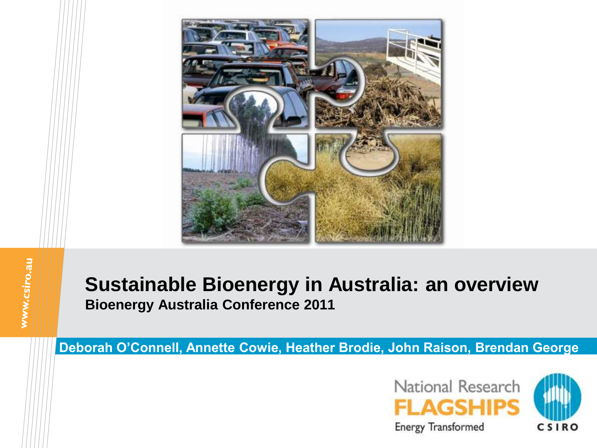

#### **Sustainable Bioenergy in Australia: an overview Bioenergy Australia Conference 2011**

**Deborah O'Connell, Annette Cowie, Heather Brodie, John Raison, Brendan George**

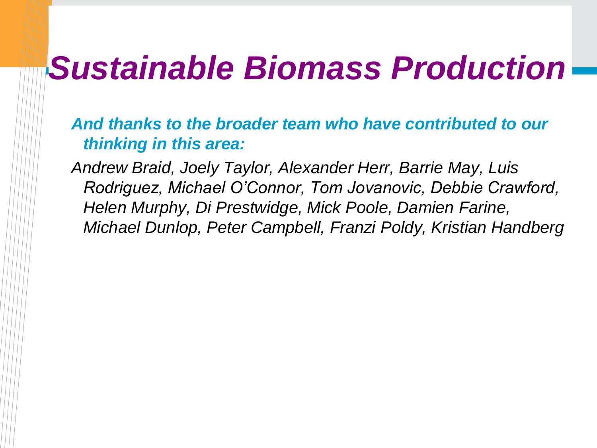## *Sustainable Biomass Production*

*And thanks to the broader team who have contributed to our thinking in this area:*

*Andrew Braid, Joely Taylor, Alexander Herr, Barrie May, Luis Rodriguez, Michael O'Connor, Tom Jovanovic, Debbie Crawford, Helen Murphy, Di Prestwidge, Mick Poole, Damien Farine, Michael Dunlop, Peter Campbell, Franzi Poldy, Kristian Handberg*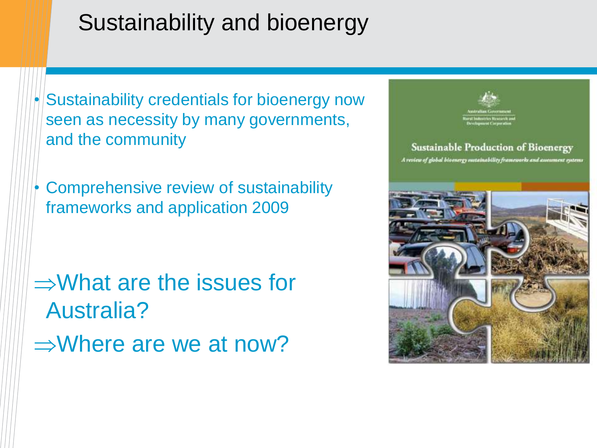#### Sustainability and bioenergy

 $\bullet$  Sustainability credentials for bioenergy now seen as necessity by many governments, and the community

• Comprehensive review of sustainability frameworks and application 2009

 $\Rightarrow$ What are the issues for Australia?  $\Rightarrow$ Where are we at now?

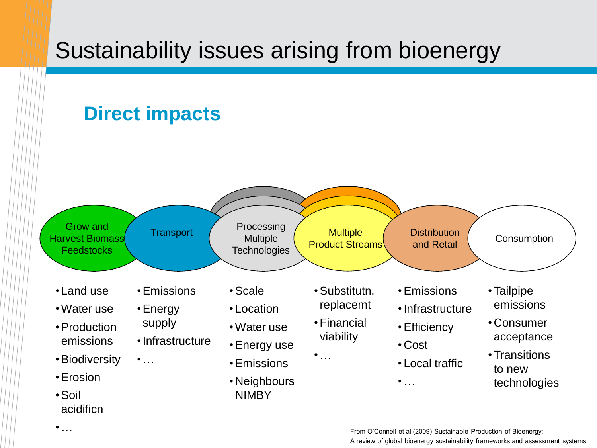## Sustainability issues arising from bioenergy

#### **Direct impacts**

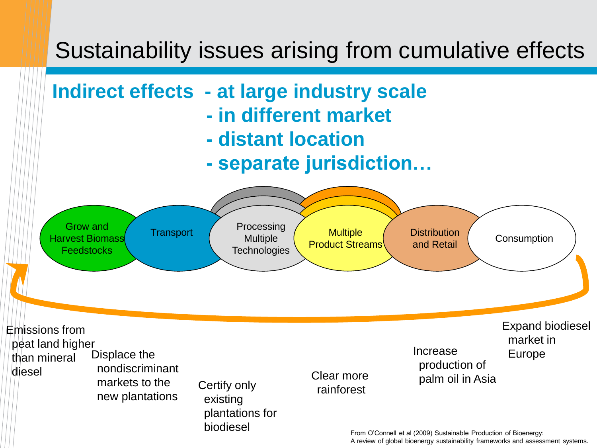#### Sustainability issues arising from cumulative effects

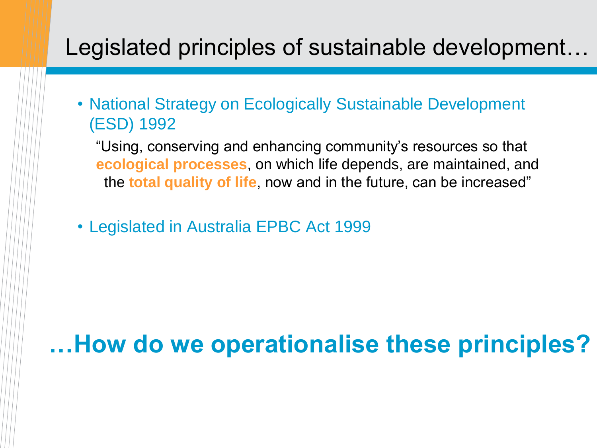#### Legislated principles of sustainable development…

• National Strategy on Ecologically Sustainable Development (ESD) 1992

"Using, conserving and enhancing community"s resources so that **ecological processes**, on which life depends, are maintained, and the **total quality of life**, now and in the future, can be increased"

• Legislated in Australia EPBC Act 1999

**…How do we operationalise these principles?**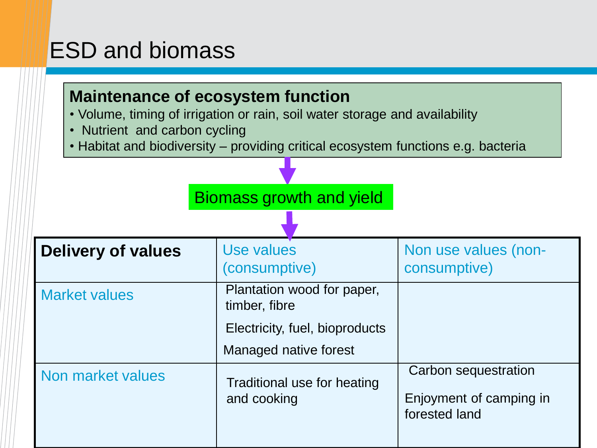#### ESD and biomass

#### **Maintenance of ecosystem function**

• Volume, timing of irrigation or rain, soil water storage and availability

- Nutrient and carbon cycling
- Habitat and biodiversity providing critical ecosystem functions e.g. bacteria

|                           | Biomass growth and yield                                                      |                                                                  |
|---------------------------|-------------------------------------------------------------------------------|------------------------------------------------------------------|
|                           |                                                                               |                                                                  |
| <b>Delivery of values</b> | Use values<br>(consumptive)                                                   | Non use values (non-<br>consumptive)                             |
| <b>Market values</b>      | Plantation wood for paper,<br>timber, fibre<br>Electricity, fuel, bioproducts |                                                                  |
|                           | Managed native forest                                                         |                                                                  |
| Non market values         | Traditional use for heating<br>and cooking                                    | Carbon sequestration<br>Enjoyment of camping in<br>forested land |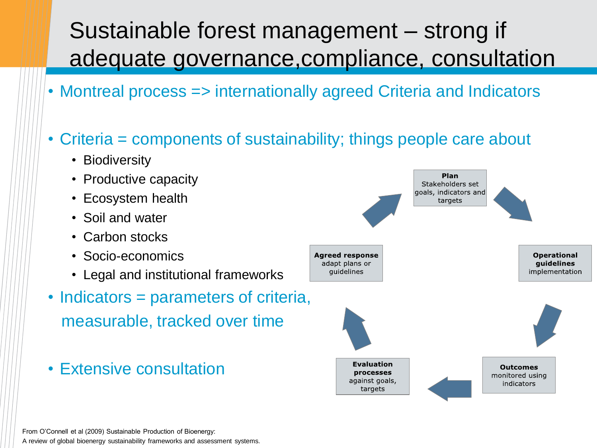### Sustainable forest management – strong if adequate governance,compliance, consultation

- Montreal process => internationally agreed Criteria and Indicators
- Criteria = components of sustainability; things people care about
	- Biodiversity
	- Productive capacity
	- Ecosystem health
	- Soil and water
	- Carbon stocks
	- Socio-economics
	- Legal and institutional frameworks
- Indicators = parameters of criteria, measurable, tracked over time
- Extensive consultation

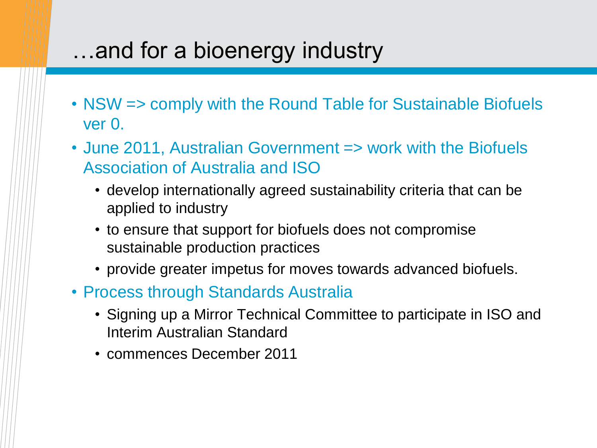#### …and for a bioenergy industry

- NSW => comply with the Round Table for Sustainable Biofuels ver 0.
- June 2011, Australian Government => work with the Biofuels Association of Australia and ISO
	- develop internationally agreed sustainability criteria that can be applied to industry
	- to ensure that support for biofuels does not compromise sustainable production practices
	- provide greater impetus for moves towards advanced biofuels.
- Process through Standards Australia
	- Signing up a Mirror Technical Committee to participate in ISO and Interim Australian Standard
	- commences December 2011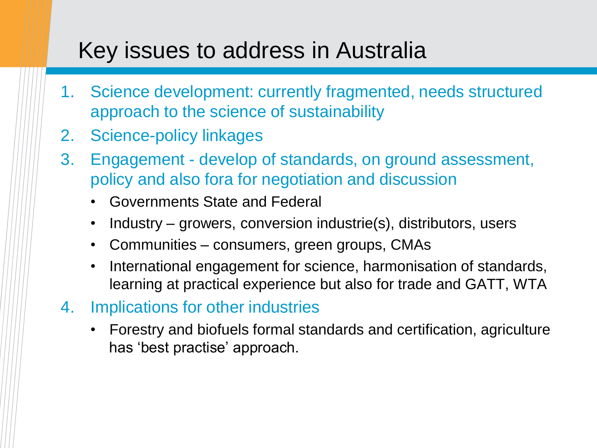#### Key issues to address in Australia

- 1. Science development: currently fragmented, needs structured approach to the science of sustainability
- 2. Science-policy linkages
- 3. Engagement develop of standards, on ground assessment, policy and also fora for negotiation and discussion
	- Governments State and Federal
	- Industry growers, conversion industrie(s), distributors, users
	- Communities consumers, green groups, CMAs
	- International engagement for science, harmonisation of standards, learning at practical experience but also for trade and GATT, WTA
- 4. Implications for other industries
	- Forestry and biofuels formal standards and certification, agriculture has 'best practise' approach.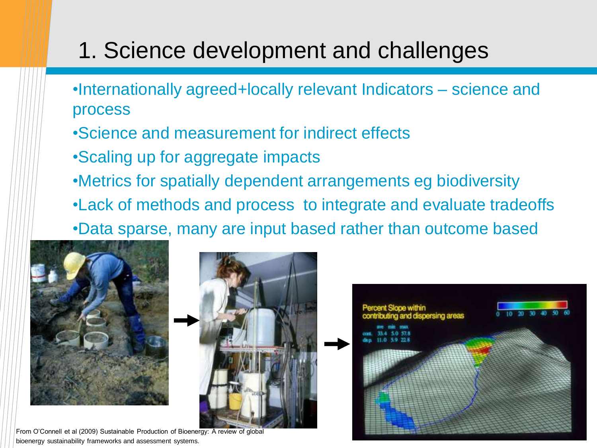#### 1. Science development and challenges

- •Internationally agreed+locally relevant Indicators science and process
- •Science and measurement for indirect effects
- •Scaling up for aggregate impacts
- •Metrics for spatially dependent arrangements eg biodiversity
- •Lack of methods and process to integrate and evaluate tradeoffs

•Data sparse, many are input based rather than outcome based





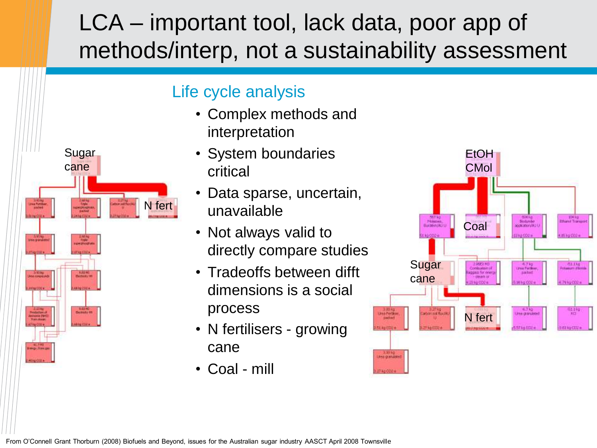#### LCA – important tool, lack data, poor app of methods/interp, not a sustainability assessment



#### Life cycle analysis

- Complex methods and interpretation
- System boundaries critical
- Data sparse, uncertain, unavailable
- Not always valid to directly compare studies
- Tradeoffs between difft dimensions is a social process
- N fertilisers growing cane
- Coal mill

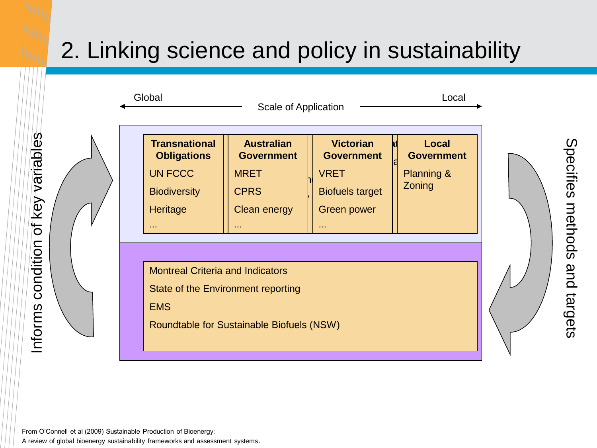## 2. Linking science and policy in sustainability

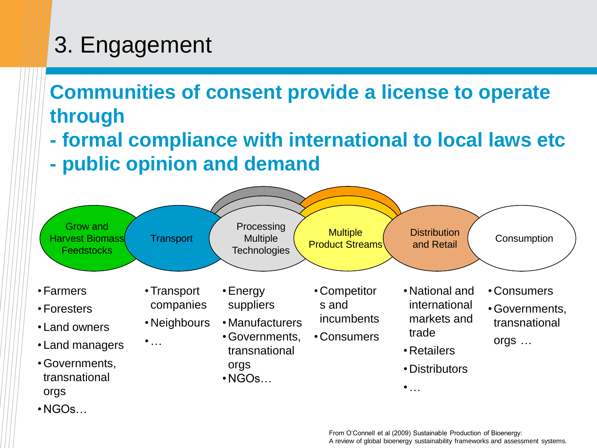## 3. Engagement

#### **Communities of consent provide a license to operate through**

- **- formal compliance with international to local laws etc**
- **- public opinion and demand**

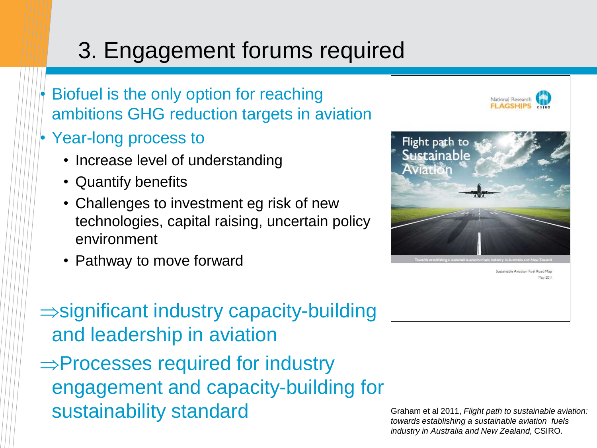## 3. Engagement forums required

- Biofuel is the only option for reaching ambitions GHG reduction targets in aviation
- Year-long process to
	- Increase level of understanding
	- Quantify benefits
	- Challenges to investment eg risk of new technologies, capital raising, uncertain policy environment
	- Pathway to move forward

 $\Rightarrow$  significant industry capacity-building and leadership in aviation

 $\Rightarrow$  Processes required for industry engagement and capacity-building for sustainability standard Graham et al 2011, *Flight path to sustainable aviation:* <br> *Sustainable aviation: subjection sustainable aviation:* 



*towards establishing a sustainable aviation fuels industry in Australia and New Zealand,* CSIRO.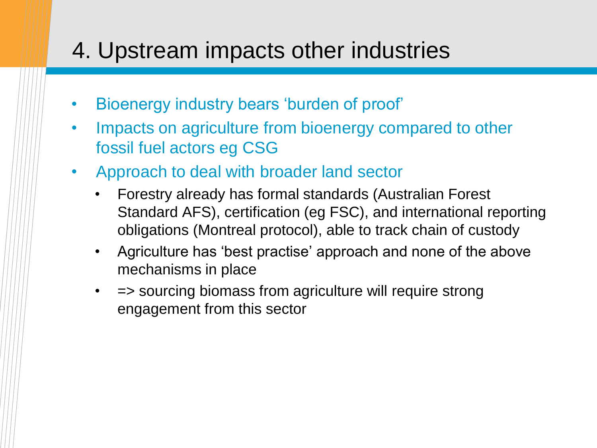#### 4. Upstream impacts other industries

- Bioenergy industry bears "burden of proof"
- Impacts on agriculture from bioenergy compared to other fossil fuel actors eg CSG
- Approach to deal with broader land sector
	- Forestry already has formal standards (Australian Forest Standard AFS), certification (eg FSC), and international reporting obligations (Montreal protocol), able to track chain of custody
	- Agriculture has "best practise" approach and none of the above mechanisms in place
	- = > sourcing biomass from agriculture will require strong engagement from this sector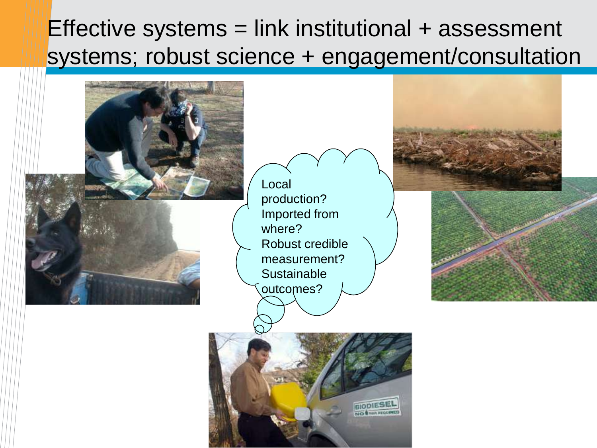#### Effective systems  $=$  link institutional  $+$  assessment systems; robust science + engagement/consultation

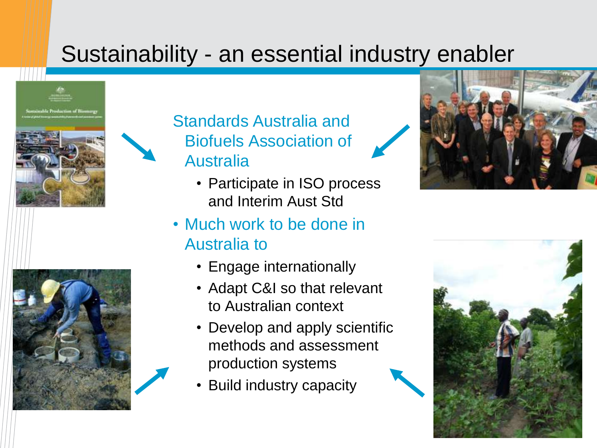#### Sustainability - an essential industry enabler





Standards Australia and Biofuels Association of Australia

- Participate in ISO process and Interim Aust Std
- Much work to be done in Australia to
	- Engage internationally
	- Adapt C&I so that relevant to Australian context
	- Develop and apply scientific methods and assessment production systems
	- Build industry capacity